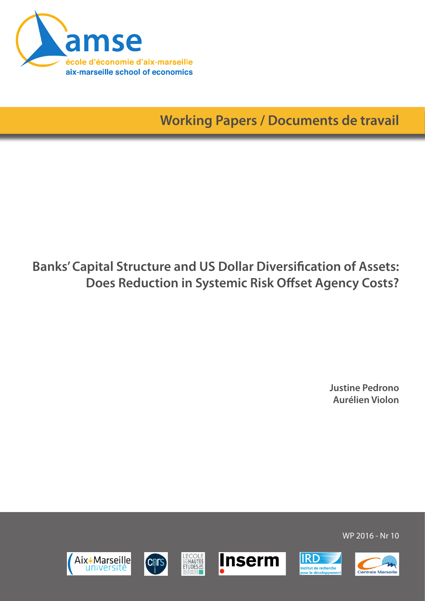

**Working Papers / Documents de travail**

# **Banks' Capital Structure and US Dollar Diversification of Assets: Does Reduction in Systemic Risk Offset Agency Costs?**

**Justine Pedrono Aurélien Violon**













WP 2016 - Nr 10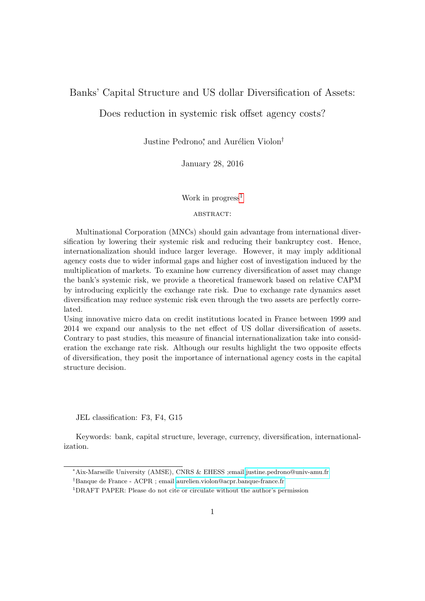## <span id="page-1-0"></span>Banks' Capital Structure and US dollar Diversification of Assets:

## Does reduction in systemic risk offset agency costs?

Justine Pedrono<sup>\*</sup>, and Aurélien Violon<sup>†</sup>

January 28, 2016

#### Work in progress<sup>1</sup>

#### ABSTRACT:

Multinational Corporation (MNCs) should gain advantage from international diversification by lowering their systemic risk and reducing their bankruptcy cost. Hence, internationalization should induce larger leverage. However, it may imply additional agency costs due to wider informal gaps and higher cost of investigation induced by the multiplication of markets. To examine how currency diversification of asset may change the bank's systemic risk, we provide a theoretical framework based on relative CAPM by introducing explicitly the exchange rate risk. Due to exchange rate dynamics asset diversification may reduce systemic risk even through the two assets are perfectly correlated.

Using innovative micro data on credit institutions located in France between 1999 and 2014 we expand our analysis to the net effect of US dollar diversification of assets. Contrary to past studies, this measure of financial internationalization take into consideration the exchange rate risk. Although our results highlight the two opposite effects of diversification, they posit the importance of international agency costs in the capital structure decision.

JEL classification: F3, F4, G15

Keywords: bank, capital structure, leverage, currency, diversification, internationalization.

<sup>∗</sup>Aix-Marseille University (AMSE), CNRS & EHESS ;email[:justine.pedrono@univ-amu.fr](mailto:justine.pedrono@univ-amu.fr)

<sup>†</sup>Banque de France - ACPR ; email [aurelien.violon@acpr.banque-france.fr](mailto:Aurelien.VIOLON@acpr.banque-france.fr)

<sup>1</sup>DRAFT PAPER: Please do not cite or circulate without the author's permission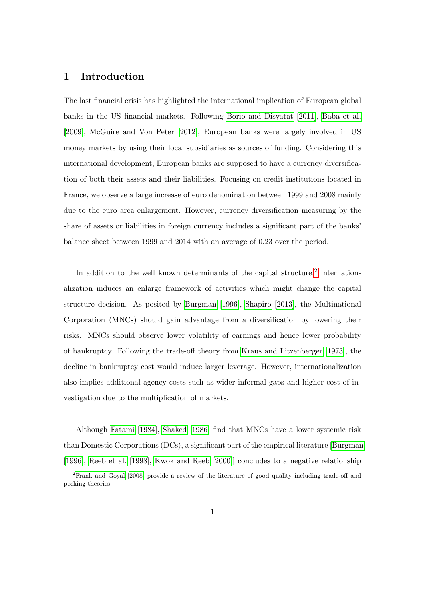# 1 Introduction

The last financial crisis has highlighted the international implication of European global banks in the US financial markets. Following [Borio and Disyatat](#page-17-0) [\[2011\]](#page-17-0), [Baba et al.](#page-17-1) [\[2009\]](#page-17-1), [McGuire and Von Peter](#page-18-0) [\[2012\]](#page-18-0), European banks were largely involved in US money markets by using their local subsidiaries as sources of funding. Considering this international development, European banks are supposed to have a currency diversification of both their assets and their liabilities. Focusing on credit institutions located in France, we observe a large increase of euro denomination between 1999 and 2008 mainly due to the euro area enlargement. However, currency diversification measuring by the share of assets or liabilities in foreign currency includes a significant part of the banks' balance sheet between 1999 and 2014 with an average of 0.23 over the period.

In addition to the well known determinants of the capital structure,<sup>[2](#page-1-0)</sup> internationalization induces an enlarge framework of activities which might change the capital structure decision. As posited by [Burgman](#page-17-2) [\[1996\]](#page-17-2), [Shapiro](#page-18-1) [\[2013\]](#page-18-1), the Multinational Corporation (MNCs) should gain advantage from a diversification by lowering their risks. MNCs should observe lower volatility of earnings and hence lower probability of bankruptcy. Following the trade-off theory from [Kraus and Litzenberger](#page-18-2) [\[1973\]](#page-18-2), the decline in bankruptcy cost would induce larger leverage. However, internationalization also implies additional agency costs such as wider informal gaps and higher cost of investigation due to the multiplication of markets.

Although [Fatami](#page-17-3) [\[1984\]](#page-17-3), [Shaked](#page-18-3) [\[1986\]](#page-18-3) find that MNCs have a lower systemic risk than Domestic Corporations (DCs), a significant part of the empirical literature [\[Burgman](#page-17-2) [\[1996\]](#page-17-2), [Reeb et al.](#page-18-4) [\[1998\]](#page-18-4), [Kwok and Reeb](#page-18-5) [\[2000\]](#page-18-5)] concludes to a negative relationship

<sup>2</sup>[Frank and Goyal](#page-17-4) [\[2008\]](#page-17-4) provide a review of the literature of good quality including trade-off and pecking theories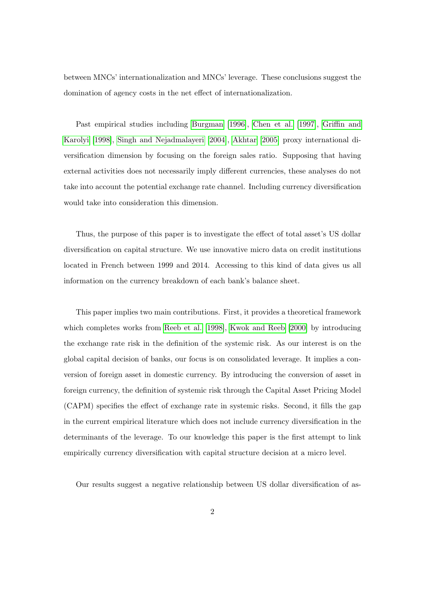between MNCs' internationalization and MNCs' leverage. These conclusions suggest the domination of agency costs in the net effect of internationalization.

Past empirical studies including [Burgman](#page-17-2) [\[1996\]](#page-17-2), [Chen et al.](#page-17-5) [\[1997\]](#page-17-5), [Griffin and](#page-17-6) [Karolyi](#page-17-6) [\[1998\]](#page-17-6), [Singh and Nejadmalayeri](#page-18-6) [\[2004\]](#page-18-6), [Akhtar](#page-17-7) [\[2005\]](#page-17-7) proxy international diversification dimension by focusing on the foreign sales ratio. Supposing that having external activities does not necessarily imply different currencies, these analyses do not take into account the potential exchange rate channel. Including currency diversification would take into consideration this dimension.

Thus, the purpose of this paper is to investigate the effect of total asset's US dollar diversification on capital structure. We use innovative micro data on credit institutions located in French between 1999 and 2014. Accessing to this kind of data gives us all information on the currency breakdown of each bank's balance sheet.

This paper implies two main contributions. First, it provides a theoretical framework which completes works from [Reeb et al.](#page-18-4) [\[1998\]](#page-18-4), [Kwok and Reeb](#page-18-5) [\[2000\]](#page-18-5) by introducing the exchange rate risk in the definition of the systemic risk. As our interest is on the global capital decision of banks, our focus is on consolidated leverage. It implies a conversion of foreign asset in domestic currency. By introducing the conversion of asset in foreign currency, the definition of systemic risk through the Capital Asset Pricing Model (CAPM) specifies the effect of exchange rate in systemic risks. Second, it fills the gap in the current empirical literature which does not include currency diversification in the determinants of the leverage. To our knowledge this paper is the first attempt to link empirically currency diversification with capital structure decision at a micro level.

Our results suggest a negative relationship between US dollar diversification of as-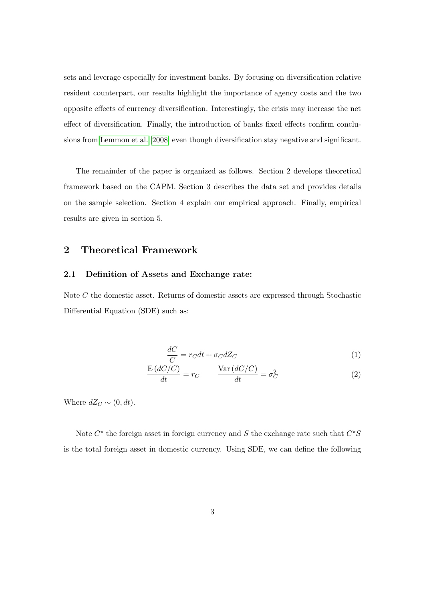sets and leverage especially for investment banks. By focusing on diversification relative resident counterpart, our results highlight the importance of agency costs and the two opposite effects of currency diversification. Interestingly, the crisis may increase the net effect of diversification. Finally, the introduction of banks fixed effects confirm conclusions from [Lemmon et al.](#page-18-7) [\[2008\]](#page-18-7) even though diversification stay negative and significant.

The remainder of the paper is organized as follows. Section 2 develops theoretical framework based on the CAPM. Section 3 describes the data set and provides details on the sample selection. Section 4 explain our empirical approach. Finally, empirical results are given in section 5.

# 2 Theoretical Framework

### 2.1 Definition of Assets and Exchange rate:

Note C the domestic asset. Returns of domestic assets are expressed through Stochastic Differential Equation (SDE) such as:

$$
\frac{dC}{C} = r_C dt + \sigma_C dZ_C \tag{1}
$$

$$
\frac{E(dC/C)}{dt} = r_C \qquad \frac{\text{Var}(dC/C)}{dt} = \sigma_C^2 \tag{2}
$$

Where  $dZ_C \sim (0, dt)$ .

Note  $C^*$  the foreign asset in foreign currency and S the exchange rate such that  $C^*S$ is the total foreign asset in domestic currency. Using SDE, we can define the following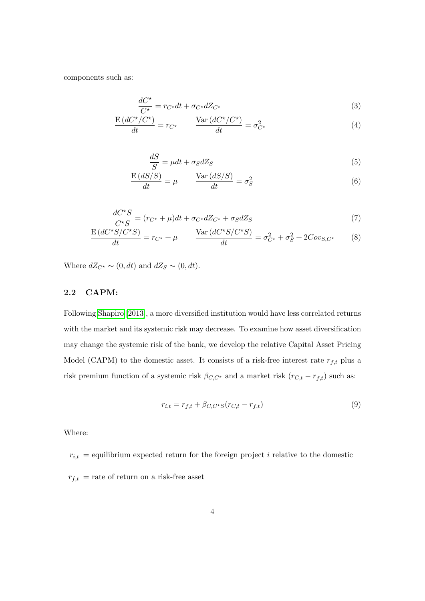components such as:

$$
\frac{dC^{\star}}{C^{\star}} = r_{C^{\star}}dt + \sigma_{C^{\star}}dZ_{C^{\star}} \tag{3}
$$

$$
\frac{E\left(dC^{\star}/C^{\star}\right)}{dt} = r_{C^{\star}} \qquad \frac{\text{Var}\left(dC^{\star}/C^{\star}\right)}{dt} = \sigma_{C^{\star}}^2 \tag{4}
$$

$$
\frac{dS}{S} = \mu dt + \sigma_S dZ_S \tag{5}
$$

$$
\frac{E\left(dS/S\right)}{dt} = \mu \qquad \frac{\text{Var}\left(dS/S\right)}{dt} = \sigma_S^2 \tag{6}
$$

$$
\frac{dC^*S}{C^*S} = (r_{C^*} + \mu)dt + \sigma_{C^*}dZ_{C^*} + \sigma_S dZ_S \tag{7}
$$

$$
\frac{E\left(dC^{\star}S/C^{\star}S\right)}{dt} = r_{C^{\star}} + \mu \qquad \frac{\text{Var}\left(dC^{\star}S/C^{\star}S\right)}{dt} = \sigma_{C^{\star}}^2 + \sigma_S^2 + 2Cov_{S,C^{\star}} \qquad (8)
$$

Where  $dZ_{C^*} \sim (0, dt)$  and  $dZ_S \sim (0, dt)$ .

## 2.2 CAPM:

Following [Shapiro](#page-18-1) [\[2013\]](#page-18-1), a more diversified institution would have less correlated returns with the market and its systemic risk may decrease. To examine how asset diversification may change the systemic risk of the bank, we develop the relative Capital Asset Pricing Model (CAPM) to the domestic asset. It consists of a risk-free interest rate  $r_{f,t}$  plus a risk premium function of a systemic risk  $\beta_{C,C^\star}$  and a market risk  $(r_{C,t} - r_{f,t})$  such as:

$$
r_{i,t} = r_{f,t} + \beta_{C,C^*S}(r_{C,t} - r_{f,t})
$$
\n(9)

Where:

 $r_{i,t}$  = equilibrium expected return for the foreign project *i* relative to the domestic  $r_{f,t}\,$  = rate of return on a risk-free asset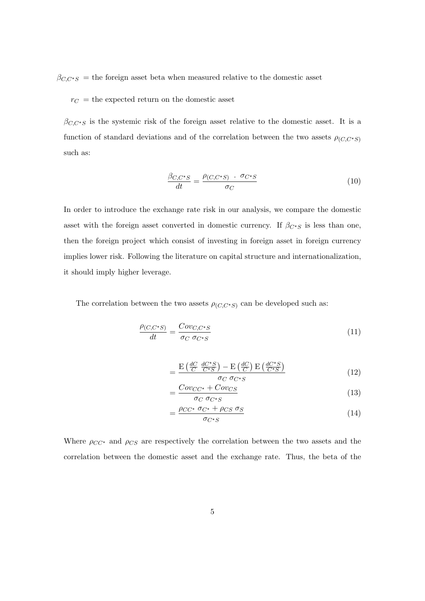$\beta_{C,C^*S}$  = the foreign asset beta when measured relative to the domestic asset

 $r_C$  = the expected return on the domestic asset

 $\beta_{C,C^*S}$  is the systemic risk of the foreign asset relative to the domestic asset. It is a function of standard deviations and of the correlation between the two assets  $\rho_{(C,C^*S)}$ such as:

$$
\frac{\beta_{C,C^{\star}S}}{dt} = \frac{\rho_{(C,C^{\star}S)} \cdot \sigma_{C^{\star}S}}{\sigma_C}
$$
\n(10)

In order to introduce the exchange rate risk in our analysis, we compare the domestic asset with the foreign asset converted in domestic currency. If  $\beta_{C^{\star}S}$  is less than one, then the foreign project which consist of investing in foreign asset in foreign currency implies lower risk. Following the literature on capital structure and internationalization, it should imply higher leverage.

The correlation between the two assets  $\rho_{(C,C^*S)}$  can be developed such as:

$$
\frac{\rho_{(C,C^*S)}}{dt} = \frac{Cov_{C,C^*S}}{\sigma_C \sigma_{C^*S}}
$$
(11)

$$
= \frac{\mathrm{E}\left(\frac{dC}{C}\frac{dC^{\star}S}{C^{\star}S}\right) - \mathrm{E}\left(\frac{dC}{C}\right)\mathrm{E}\left(\frac{dC^{\star}S}{C^{\star}S}\right)}{\sigma_{C}\sigma_{C^{\star}S}}
$$
(12)

$$
=\frac{Cov_{CC^*} + Cov_{CS}}{\sigma_C \ \sigma_{C^*S}}\tag{13}
$$

$$
=\frac{\rho_{CC^*} \sigma_{C^*} + \rho_{CS} \sigma_S}{\sigma_{C^*S}}
$$
(14)

Where  $\rho_{CC^*}$  and  $\rho_{CS}$  are respectively the correlation between the two assets and the correlation between the domestic asset and the exchange rate. Thus, the beta of the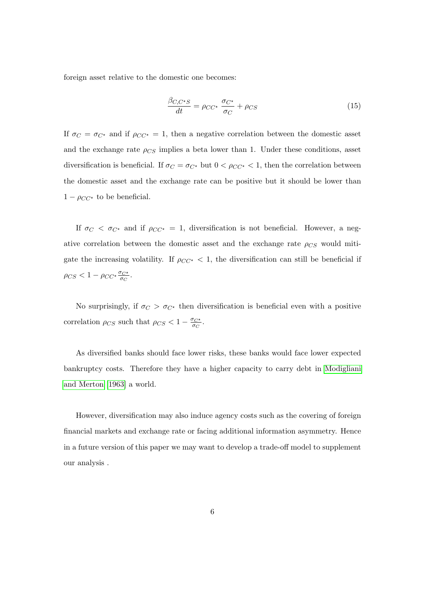foreign asset relative to the domestic one becomes:

$$
\frac{\beta_{C,C^*S}}{dt} = \rho_{CC^*} \frac{\sigma_{C^*}}{\sigma_C} + \rho_{CS}
$$
\n(15)

If  $\sigma_C = \sigma_{C^*}$  and if  $\rho_{CC^*} = 1$ , then a negative correlation between the domestic asset and the exchange rate  $\rho_{CS}$  implies a beta lower than 1. Under these conditions, asset diversification is beneficial. If  $\sigma_C = \sigma_{C^*}$  but  $0 < \rho_{CC^*} < 1$ , then the correlation between the domestic asset and the exchange rate can be positive but it should be lower than  $1 - \rho_{CC^*}$  to be beneficial.

If  $\sigma_C < \sigma_{C^*}$  and if  $\rho_{CC^*} = 1$ , diversification is not beneficial. However, a negative correlation between the domestic asset and the exchange rate  $\rho_{CS}$  would mitigate the increasing volatility. If  $\rho_{CC^*} < 1$ , the diversification can still be beneficial if  $\rho_{CS} < 1 - \rho_{CC^{\star}} \frac{\sigma_{C^{\star}}}{\sigma_{C}}$  $\frac{\sigma_{C^{\star}}}{\sigma_{C}}.$ 

No surprisingly, if  $\sigma_C > \sigma_{C^*}$  then diversification is beneficial even with a positive correlation  $\rho_{CS}$  such that  $\rho_{CS} < 1 - \frac{\sigma_{C^*}}{\sigma_{CS}}$  $\frac{\sigma_{C^{\star}}}{\sigma_{C}}.$ 

As diversified banks should face lower risks, these banks would face lower expected bankruptcy costs. Therefore they have a higher capacity to carry debt in [Modigliani](#page-18-8) [and Merton](#page-18-8) [\[1963\]](#page-18-8) a world.

However, diversification may also induce agency costs such as the covering of foreign financial markets and exchange rate or facing additional information asymmetry. Hence in a future version of this paper we may want to develop a trade-off model to supplement our analysis .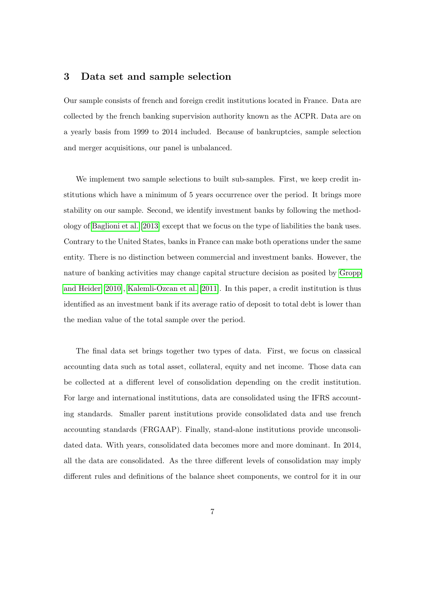## 3 Data set and sample selection

Our sample consists of french and foreign credit institutions located in France. Data are collected by the french banking supervision authority known as the ACPR. Data are on a yearly basis from 1999 to 2014 included. Because of bankruptcies, sample selection and merger acquisitions, our panel is unbalanced.

We implement two sample selections to built sub-samples. First, we keep credit institutions which have a minimum of 5 years occurrence over the period. It brings more stability on our sample. Second, we identify investment banks by following the methodology of [Baglioni et al.](#page-17-8) [\[2013\]](#page-17-8) except that we focus on the type of liabilities the bank uses. Contrary to the United States, banks in France can make both operations under the same entity. There is no distinction between commercial and investment banks. However, the nature of banking activities may change capital structure decision as posited by [Gropp](#page-17-9) [and Heider](#page-17-9) [\[2010\]](#page-17-9), [Kalemli-Ozcan et al.](#page-18-9) [\[2011\]](#page-18-9). In this paper, a credit institution is thus identified as an investment bank if its average ratio of deposit to total debt is lower than the median value of the total sample over the period.

The final data set brings together two types of data. First, we focus on classical accounting data such as total asset, collateral, equity and net income. Those data can be collected at a different level of consolidation depending on the credit institution. For large and international institutions, data are consolidated using the IFRS accounting standards. Smaller parent institutions provide consolidated data and use french accounting standards (FRGAAP). Finally, stand-alone institutions provide unconsolidated data. With years, consolidated data becomes more and more dominant. In 2014, all the data are consolidated. As the three different levels of consolidation may imply different rules and definitions of the balance sheet components, we control for it in our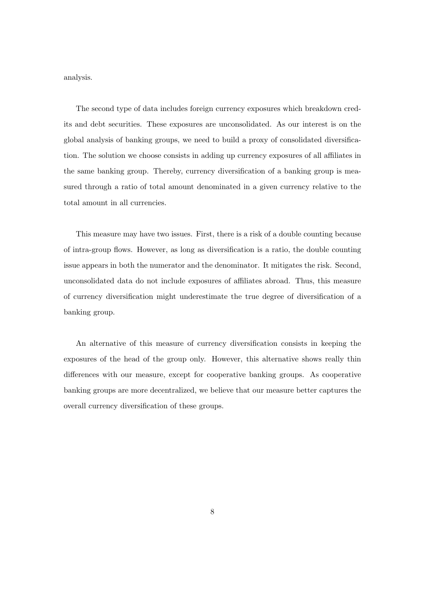analysis.

The second type of data includes foreign currency exposures which breakdown credits and debt securities. These exposures are unconsolidated. As our interest is on the global analysis of banking groups, we need to build a proxy of consolidated diversification. The solution we choose consists in adding up currency exposures of all affiliates in the same banking group. Thereby, currency diversification of a banking group is measured through a ratio of total amount denominated in a given currency relative to the total amount in all currencies.

This measure may have two issues. First, there is a risk of a double counting because of intra-group flows. However, as long as diversification is a ratio, the double counting issue appears in both the numerator and the denominator. It mitigates the risk. Second, unconsolidated data do not include exposures of affiliates abroad. Thus, this measure of currency diversification might underestimate the true degree of diversification of a banking group.

An alternative of this measure of currency diversification consists in keeping the exposures of the head of the group only. However, this alternative shows really thin differences with our measure, except for cooperative banking groups. As cooperative banking groups are more decentralized, we believe that our measure better captures the overall currency diversification of these groups.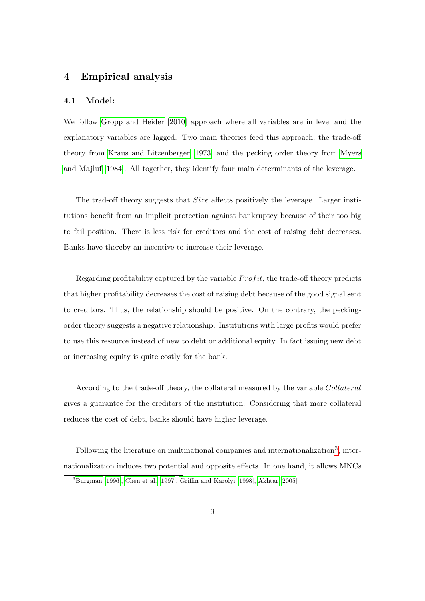# 4 Empirical analysis

## 4.1 Model:

We follow [Gropp and Heider](#page-17-9) [\[2010\]](#page-17-9) approach where all variables are in level and the explanatory variables are lagged. Two main theories feed this approach, the trade-off theory from [Kraus and Litzenberger](#page-18-2) [\[1973\]](#page-18-2) and the pecking order theory from [Myers](#page-18-10) [and Majluf](#page-18-10) [\[1984\]](#page-18-10). All together, they identify four main determinants of the leverage.

The trad-off theory suggests that *Size* affects positively the leverage. Larger institutions benefit from an implicit protection against bankruptcy because of their too big to fail position. There is less risk for creditors and the cost of raising debt decreases. Banks have thereby an incentive to increase their leverage.

Regarding profitability captured by the variable  $Profit$ , the trade-off theory predicts that higher profitability decreases the cost of raising debt because of the good signal sent to creditors. Thus, the relationship should be positive. On the contrary, the peckingorder theory suggests a negative relationship. Institutions with large profits would prefer to use this resource instead of new to debt or additional equity. In fact issuing new debt or increasing equity is quite costly for the bank.

According to the trade-off theory, the collateral measured by the variable Collateral gives a guarantee for the creditors of the institution. Considering that more collateral reduces the cost of debt, banks should have higher leverage.

Following the literature on multinational companies and internationalization<sup>[3](#page-1-0)</sup>, internationalization induces two potential and opposite effects. In one hand, it allows MNCs

 ${}^{3}$ [Burgman](#page-17-2) [\[1996\]](#page-17-2), [Chen et al.](#page-17-5) [\[1997\]](#page-17-5), [Griffin and Karolyi](#page-17-6) [\[1998\]](#page-17-6), [Akhtar](#page-17-7) [\[2005\]](#page-17-7)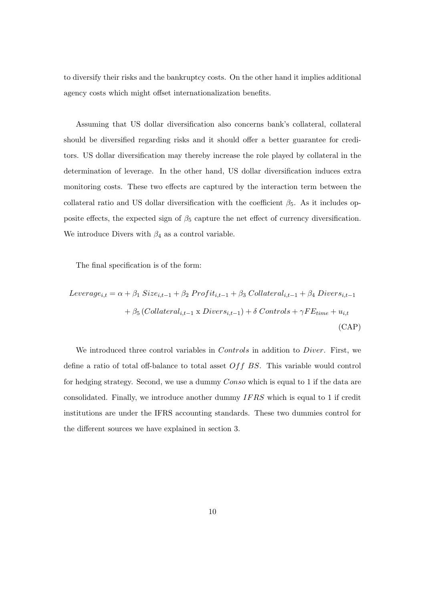to diversify their risks and the bankruptcy costs. On the other hand it implies additional agency costs which might offset internationalization benefits.

Assuming that US dollar diversification also concerns bank's collateral, collateral should be diversified regarding risks and it should offer a better guarantee for creditors. US dollar diversification may thereby increase the role played by collateral in the determination of leverage. In the other hand, US dollar diversification induces extra monitoring costs. These two effects are captured by the interaction term between the collateral ratio and US dollar diversification with the coefficient  $\beta_5$ . As it includes opposite effects, the expected sign of  $\beta_5$  capture the net effect of currency diversification. We introduce Divers with  $\beta_4$  as a control variable.

The final specification is of the form:

$$
Leverage_{i,t} = \alpha + \beta_1 \text{Size}_{i,t-1} + \beta_2 \text{Profit}_{i,t-1} + \beta_3 \text{Collateral}_{i,t-1} + \beta_4 \text{ Divers}_{i,t-1}
$$

$$
+ \beta_5 \text{ (Collateral}_{i,t-1} \times \text{Divers}_{i,t-1}) + \delta \text{ Controls} + \gamma \text{FE}_{time} + u_{i,t}
$$

$$
(CAP)
$$

We introduced three control variables in *Controls* in addition to *Diver*. First, we define a ratio of total off-balance to total asset  $Off BS$ . This variable would control for hedging strategy. Second, we use a dummy Conso which is equal to 1 if the data are consolidated. Finally, we introduce another dummy IF RS which is equal to 1 if credit institutions are under the IFRS accounting standards. These two dummies control for the different sources we have explained in section 3.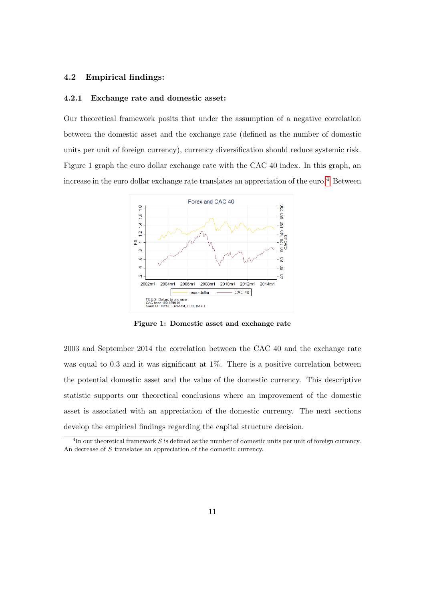## 4.2 Empirical findings:

### 4.2.1 Exchange rate and domestic asset:

Our theoretical framework posits that under the assumption of a negative correlation between the domestic asset and the exchange rate (defined as the number of domestic units per unit of foreign currency), currency diversification should reduce systemic risk. Figure 1 graph the euro dollar exchange rate with the CAC 40 index. In this graph, an increase in the euro dollar exchange rate translates an appreciation of the euro.<sup>[4](#page-1-0)</sup> Between



Figure 1: Domestic asset and exchange rate

2003 and September 2014 the correlation between the CAC 40 and the exchange rate was equal to 0.3 and it was significant at 1%. There is a positive correlation between the potential domestic asset and the value of the domestic currency. This descriptive statistic supports our theoretical conclusions where an improvement of the domestic asset is associated with an appreciation of the domestic currency. The next sections develop the empirical findings regarding the capital structure decision.

<sup>&</sup>lt;sup>4</sup>In our theoretical framework S is defined as the number of domestic units per unit of foreign currency. An decrease of S translates an appreciation of the domestic currency.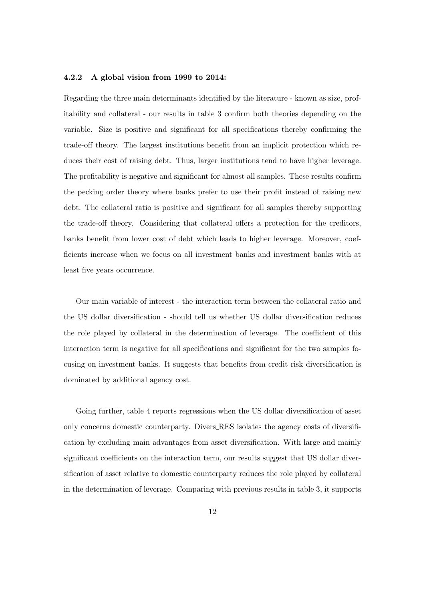### 4.2.2 A global vision from 1999 to 2014:

Regarding the three main determinants identified by the literature - known as size, profitability and collateral - our results in table 3 confirm both theories depending on the variable. Size is positive and significant for all specifications thereby confirming the trade-off theory. The largest institutions benefit from an implicit protection which reduces their cost of raising debt. Thus, larger institutions tend to have higher leverage. The profitability is negative and significant for almost all samples. These results confirm the pecking order theory where banks prefer to use their profit instead of raising new debt. The collateral ratio is positive and significant for all samples thereby supporting the trade-off theory. Considering that collateral offers a protection for the creditors, banks benefit from lower cost of debt which leads to higher leverage. Moreover, coefficients increase when we focus on all investment banks and investment banks with at least five years occurrence.

Our main variable of interest - the interaction term between the collateral ratio and the US dollar diversification - should tell us whether US dollar diversification reduces the role played by collateral in the determination of leverage. The coefficient of this interaction term is negative for all specifications and significant for the two samples focusing on investment banks. It suggests that benefits from credit risk diversification is dominated by additional agency cost.

Going further, table 4 reports regressions when the US dollar diversification of asset only concerns domestic counterparty. Divers RES isolates the agency costs of diversification by excluding main advantages from asset diversification. With large and mainly significant coefficients on the interaction term, our results suggest that US dollar diversification of asset relative to domestic counterparty reduces the role played by collateral in the determination of leverage. Comparing with previous results in table 3, it supports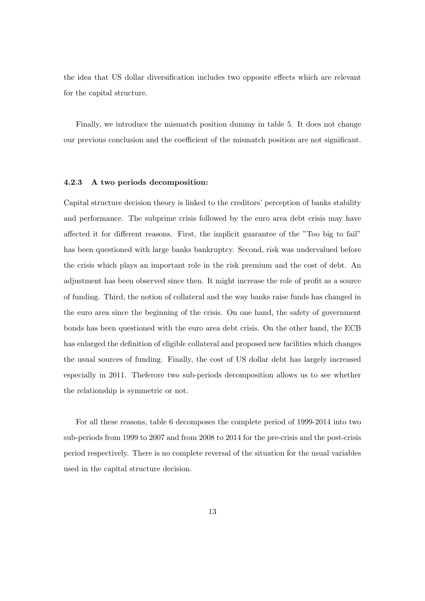the idea that US dollar diversification includes two opposite effects which are relevant for the capital structure.

Finally, we introduce the mismatch position dummy in table 5. It does not change our previous conclusion and the coefficient of the mismatch position are not significant.

#### 4.2.3 A two periods decomposition:

Capital structure decision theory is linked to the creditors' perception of banks stability and performance. The subprime crisis followed by the euro area debt crisis may have affected it for different reasons. First, the implicit guarantee of the "Too big to fail" has been questioned with large banks bankruptcy. Second, risk was undervalued before the crisis which plays an important role in the risk premium and the cost of debt. An adjustment has been observed since then. It might increase the role of profit as a source of funding. Third, the notion of collateral and the way banks raise funds has changed in the euro area since the beginning of the crisis. On one hand, the safety of government bonds has been questioned with the euro area debt crisis. On the other hand, the ECB has enlarged the definition of eligible collateral and proposed new facilities which changes the usual sources of funding. Finally, the cost of US dollar debt has largely increased especially in 2011. Theferore two sub-periods decomposition allows us to see whether the relationship is symmetric or not.

For all these reasons, table 6 decomposes the complete period of 1999-2014 into two sub-periods from 1999 to 2007 and from 2008 to 2014 for the pre-crisis and the post-crisis period respectively. There is no complete reversal of the situation for the usual variables used in the capital structure decision.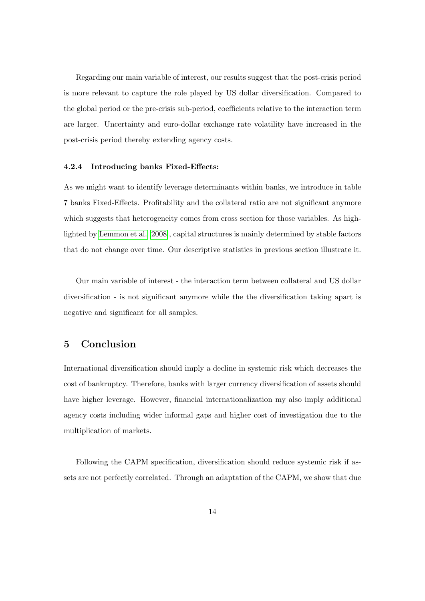Regarding our main variable of interest, our results suggest that the post-crisis period is more relevant to capture the role played by US dollar diversification. Compared to the global period or the pre-crisis sub-period, coefficients relative to the interaction term are larger. Uncertainty and euro-dollar exchange rate volatility have increased in the post-crisis period thereby extending agency costs.

#### 4.2.4 Introducing banks Fixed-Effects:

As we might want to identify leverage determinants within banks, we introduce in table 7 banks Fixed-Effects. Profitability and the collateral ratio are not significant anymore which suggests that heterogeneity comes from cross section for those variables. As highlighted by [Lemmon et al.](#page-18-7) [\[2008\]](#page-18-7), capital structures is mainly determined by stable factors that do not change over time. Our descriptive statistics in previous section illustrate it.

Our main variable of interest - the interaction term between collateral and US dollar diversification - is not significant anymore while the the diversification taking apart is negative and significant for all samples.

## 5 Conclusion

International diversification should imply a decline in systemic risk which decreases the cost of bankruptcy. Therefore, banks with larger currency diversification of assets should have higher leverage. However, financial internationalization my also imply additional agency costs including wider informal gaps and higher cost of investigation due to the multiplication of markets.

Following the CAPM specification, diversification should reduce systemic risk if assets are not perfectly correlated. Through an adaptation of the CAPM, we show that due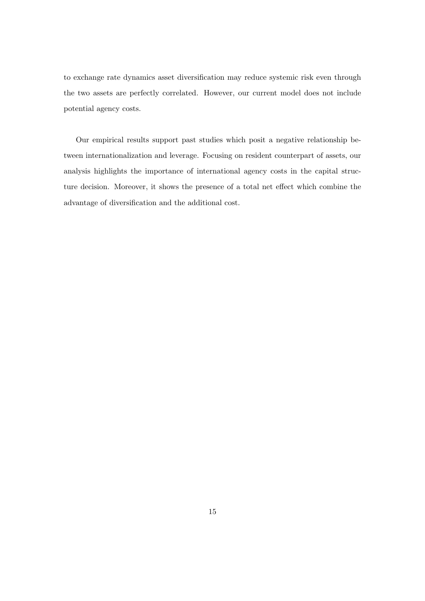to exchange rate dynamics asset diversification may reduce systemic risk even through the two assets are perfectly correlated. However, our current model does not include potential agency costs.

Our empirical results support past studies which posit a negative relationship between internationalization and leverage. Focusing on resident counterpart of assets, our analysis highlights the importance of international agency costs in the capital structure decision. Moreover, it shows the presence of a total net effect which combine the advantage of diversification and the additional cost.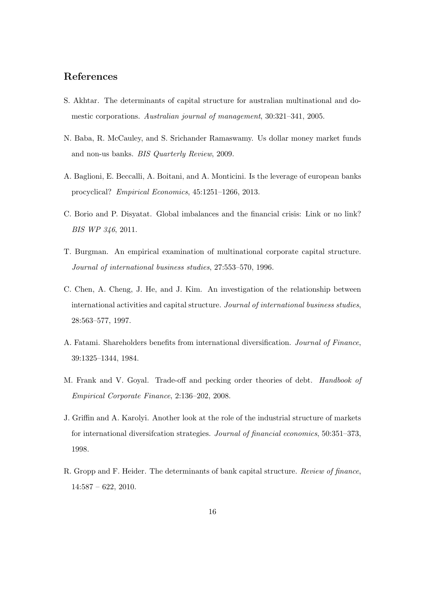# References

- <span id="page-17-7"></span>S. Akhtar. The determinants of capital structure for australian multinational and domestic corporations. Australian journal of management, 30:321–341, 2005.
- <span id="page-17-1"></span>N. Baba, R. McCauley, and S. Srichander Ramaswamy. Us dollar money market funds and non-us banks. BIS Quarterly Review, 2009.
- <span id="page-17-8"></span>A. Baglioni, E. Beccalli, A. Boitani, and A. Monticini. Is the leverage of european banks procyclical? Empirical Economics, 45:1251–1266, 2013.
- <span id="page-17-0"></span>C. Borio and P. Disyatat. Global imbalances and the financial crisis: Link or no link? BIS WP 346, 2011.
- <span id="page-17-2"></span>T. Burgman. An empirical examination of multinational corporate capital structure. Journal of international business studies, 27:553–570, 1996.
- <span id="page-17-5"></span>C. Chen, A. Cheng, J. He, and J. Kim. An investigation of the relationship between international activities and capital structure. Journal of international business studies, 28:563–577, 1997.
- <span id="page-17-3"></span>A. Fatami. Shareholders benefits from international diversification. Journal of Finance, 39:1325–1344, 1984.
- <span id="page-17-4"></span>M. Frank and V. Goyal. Trade-off and pecking order theories of debt. Handbook of Empirical Corporate Finance, 2:136–202, 2008.
- <span id="page-17-6"></span>J. Griffin and A. Karolyi. Another look at the role of the industrial structure of markets for international diversifcation strategies. Journal of financial economics, 50:351–373, 1998.
- <span id="page-17-9"></span>R. Gropp and F. Heider. The determinants of bank capital structure. Review of finance, 14:587 – 622, 2010.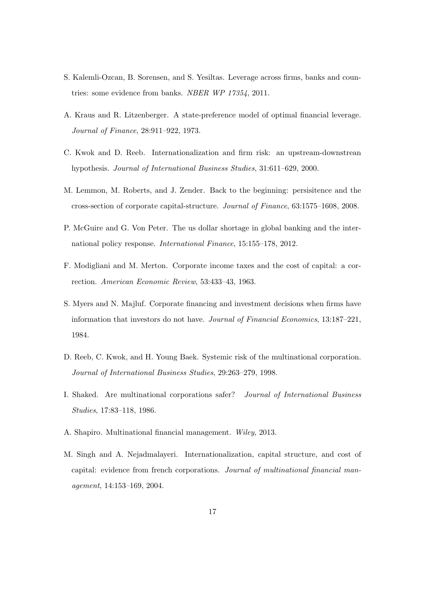- <span id="page-18-9"></span>S. Kalemli-Ozcan, B. Sorensen, and S. Yesiltas. Leverage across firms, banks and countries: some evidence from banks. NBER WP 17354, 2011.
- <span id="page-18-2"></span>A. Kraus and R. Litzenberger. A state-preference model of optimal financial leverage. Journal of Finance, 28:911–922, 1973.
- <span id="page-18-5"></span>C. Kwok and D. Reeb. Internationalization and firm risk: an upstream-downstrean hypothesis. Journal of International Business Studies, 31:611–629, 2000.
- <span id="page-18-7"></span>M. Lemmon, M. Roberts, and J. Zender. Back to the beginning: persisitence and the cross-section of corporate capital-structure. Journal of Finance, 63:1575–1608, 2008.
- <span id="page-18-0"></span>P. McGuire and G. Von Peter. The us dollar shortage in global banking and the international policy response. International Finance, 15:155–178, 2012.
- <span id="page-18-8"></span>F. Modigliani and M. Merton. Corporate income taxes and the cost of capital: a correction. American Economic Review, 53:433–43, 1963.
- <span id="page-18-10"></span>S. Myers and N. Majluf. Corporate financing and investment decisions when firms have information that investors do not have. Journal of Financial Economics, 13:187–221, 1984.
- <span id="page-18-4"></span>D. Reeb, C. Kwok, and H. Young Baek. Systemic risk of the multinational corporation. Journal of International Business Studies, 29:263–279, 1998.
- <span id="page-18-3"></span>I. Shaked. Are multinational corporations safer? Journal of International Business Studies, 17:83–118, 1986.
- <span id="page-18-1"></span>A. Shapiro. Multinational financial management. Wiley, 2013.
- <span id="page-18-6"></span>M. Singh and A. Nejadmalayeri. Internationalization, capital structure, and cost of capital: evidence from french corporations. Journal of multinational financial management, 14:153–169, 2004.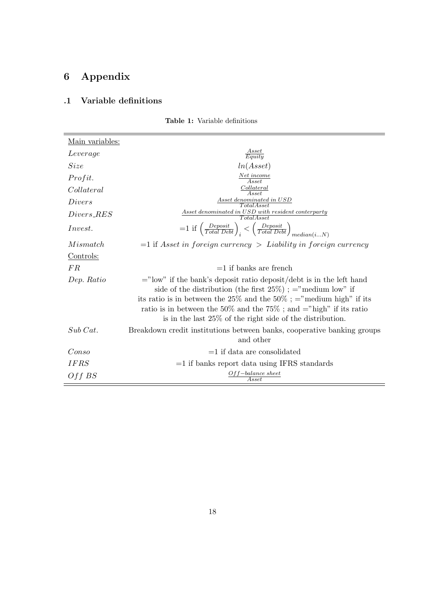# 6 Appendix

# .1 Variable definitions

| Main variables: |                                                                                                                                                                                                                                                                                                                                                           |
|-----------------|-----------------------------------------------------------------------------------------------------------------------------------------------------------------------------------------------------------------------------------------------------------------------------------------------------------------------------------------------------------|
| Leverage        | $\frac{A s s e t}{Equit y}$                                                                                                                                                                                                                                                                                                                               |
| Size            | ln(Asset)                                                                                                                                                                                                                                                                                                                                                 |
| Profit.         | $\frac{Net\ income}{Asset}$                                                                                                                                                                                                                                                                                                                               |
| Collateral      | Collateral<br>Asset                                                                                                                                                                                                                                                                                                                                       |
| Divers          | Asset denominated in USD<br>TotalAsset                                                                                                                                                                                                                                                                                                                    |
| $Divers\_RES$   | Asset denominated in USD with resident conterparty<br><i>Total Asset</i>                                                                                                                                                                                                                                                                                  |
| <i>Invest.</i>  | $=1$ if $\left(\frac{Deposit}{Total\;Debt}\right)_i < \left(\frac{Deposit}{Total\;Debt}\right)_{median(iN)}$                                                                                                                                                                                                                                              |
| Mismatch        | $=$ 1 if Asset in foreign currency > Liability in foreign currency                                                                                                                                                                                                                                                                                        |
| Controls:       |                                                                                                                                                                                                                                                                                                                                                           |
| FR.             | $=1$ if banks are french                                                                                                                                                                                                                                                                                                                                  |
| Dep. Ratio      | $=$ "low" if the bank's deposit ratio deposit/debt is in the left hand<br>side of the distribution (the first $25\%$ ); = "medium low" if<br>its ratio is in between the 25% and the 50% ; = "medium high" if its<br>ratio is in between the 50% and the 75%; and $=$ "high" if its ratio<br>is in the last $25\%$ of the right side of the distribution. |
| Sub Cat.        | Breakdown credit institutions between banks, cooperative banking groups<br>and other                                                                                                                                                                                                                                                                      |
| Conso           | $=1$ if data are consolidated                                                                                                                                                                                                                                                                                                                             |
| <i>IFRS</i>     | $=1$ if banks report data using IFRS standards                                                                                                                                                                                                                                                                                                            |
| Off BS          | $Off-balance\ sheet$<br>$\it Asset$                                                                                                                                                                                                                                                                                                                       |

Table 1: Variable definitions

÷.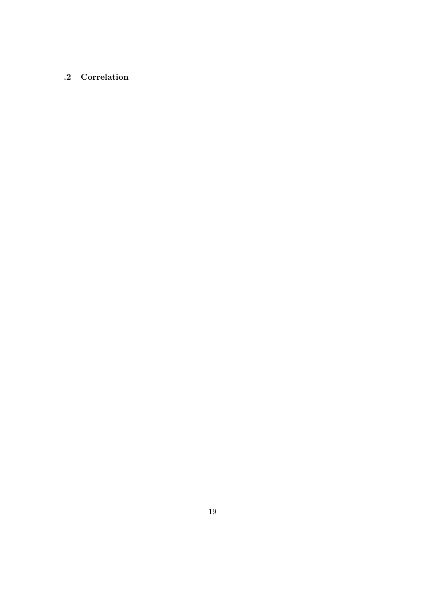# .2 Correlation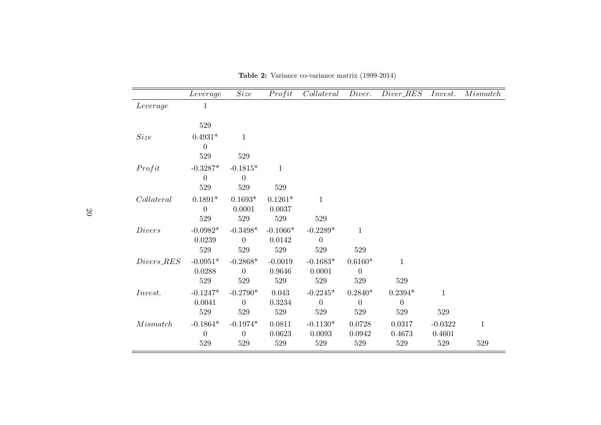|               | Leverage         | Size           | Profit       | Collateral       | Diver.         | $Diver\_RES$   | Invest.      | M is match   |
|---------------|------------------|----------------|--------------|------------------|----------------|----------------|--------------|--------------|
| Leverage      | 1                |                |              |                  |                |                |              |              |
|               | 529              |                |              |                  |                |                |              |              |
| Size          | $0.4931*$        | $\mathbf{1}$   |              |                  |                |                |              |              |
|               | $\overline{0}$   |                |              |                  |                |                |              |              |
|               | $529\,$          | $529\,$        |              |                  |                |                |              |              |
| Profit        | $-0.3287*$       | $-0.1815*$     | $\mathbf{1}$ |                  |                |                |              |              |
|               | $\boldsymbol{0}$ | $\theta$       |              |                  |                |                |              |              |
|               | 529              | $529\,$        | 529          |                  |                |                |              |              |
| Collateral    | $0.1891*$        | $0.1693*$      | $0.1261*$    | $\mathbf{1}$     |                |                |              |              |
|               | $\overline{0}$   | 0.0001         | 0.0037       |                  |                |                |              |              |
|               | 529              | $529\,$        | $529\,$      | 529              |                |                |              |              |
| <i>Divers</i> | $-0.0982*$       | $-0.3498*$     | $-0.1066*$   | $-0.2289*$       | $\mathbf{1}$   |                |              |              |
|               | 0.0239           | $\theta$       | 0.0142       | $\boldsymbol{0}$ |                |                |              |              |
|               | $529\,$          | $529\,$        | 529          | $529\,$          | 529            |                |              |              |
| $Divers\_RES$ | $-0.0951*$       | $-0.2868*$     | $-0.0019$    | $-0.1683*$       | $0.6160*$      | $\mathbf{1}$   |              |              |
|               | 0.0288           | $\overline{0}$ | 0.9646       | 0.0001           | $\overline{0}$ |                |              |              |
|               | 529              | 529            | $529\,$      | $529\,$          | $529\,$        | 529            |              |              |
| Invest.       | $-0.1247*$       | $-0.2790*$     | 0.043        | $-0.2245*$       | $0.2840*$      | $0.2394*$      | $\mathbf{1}$ |              |
|               | 0.0041           | $\theta$       | 0.3234       | $\theta$         | $\overline{0}$ | $\overline{0}$ |              |              |
|               | 529              | 529            | 529          | 529              | 529            | 529            | 529          |              |
| M is match    | $-0.1864*$       | $-0.1974*$     | 0.0811       | $-0.1130*$       | 0.0728         | 0.0317         | $-0.0322$    | $\mathbf{1}$ |
|               | $\boldsymbol{0}$ | $\overline{0}$ | 0.0623       | 0.0093           | 0.0942         | 0.4673         | 0.4601       |              |
|               | 529              | 529            | $529\,$      | 529              | $529\,$        | 529            | $529\,$      | 529          |

Table 2: Variance co-variance matrix (1999-2014)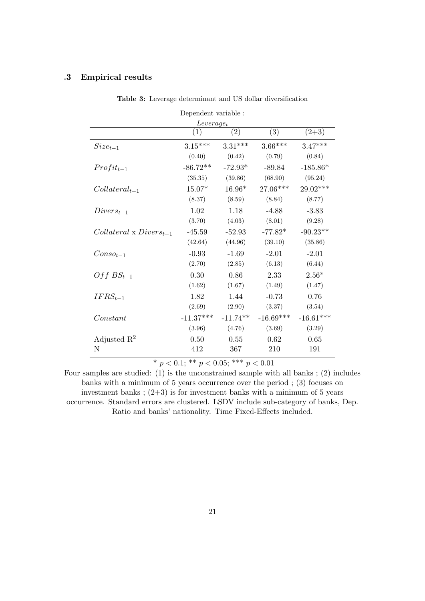## .3 Empirical results

| Dependent variable :             |             |            |             |             |  |  |  |
|----------------------------------|-------------|------------|-------------|-------------|--|--|--|
| $Leverage_t$                     |             |            |             |             |  |  |  |
|                                  | (1)         | (2)        | (3)         | $(2+3)$     |  |  |  |
| $Size_{t-1}$                     | $3.15***$   | $3.31***$  | $3.66***$   | $3.47***$   |  |  |  |
|                                  | (0.40)      | (0.42)     | (0.79)      | (0.84)      |  |  |  |
| $Profit_{t-1}$                   | $-86.72**$  | $-72.93*$  | $-89.84$    | $-185.86*$  |  |  |  |
|                                  | (35.35)     | (39.86)    | (68.90)     | (95.24)     |  |  |  |
| $Collateral_{t-1}$               | $15.07*$    | $16.96*$   | 27.06***    | 29.02***    |  |  |  |
|                                  | (8.37)      | (8.59)     | (8.84)      | (8.77)      |  |  |  |
| $Divers_{t-1}$                   | 1.02        | 1.18       | $-4.88$     | $-3.83$     |  |  |  |
|                                  | (3.70)      | (4.03)     | (8.01)      | (9.28)      |  |  |  |
| $Collateral \times Divers_{t-1}$ | $-45.59$    | $-52.93$   | $-77.82*$   | $-90.23**$  |  |  |  |
|                                  | (42.64)     | (44.96)    | (39.10)     | (35.86)     |  |  |  |
| $Conso_{t-1}$                    | $-0.93$     | $-1.69$    | $-2.01$     | $-2.01$     |  |  |  |
|                                  | (2.70)      | (2.85)     | (6.13)      | (6.44)      |  |  |  |
| $Off BS_{t-1}$                   | 0.30        | 0.86       | 2.33        | $2.56*$     |  |  |  |
|                                  | (1.62)      | (1.67)     | (1.49)      | (1.47)      |  |  |  |
| $IFRS_{t-1}$                     | 1.82        | 1.44       | $-0.73$     | 0.76        |  |  |  |
|                                  | (2.69)      | (2.90)     | (3.37)      | (3.54)      |  |  |  |
| Constant                         | $-11.37***$ | $-11.74**$ | $-16.69***$ | $-16.61***$ |  |  |  |
|                                  | (3.96)      | (4.76)     | (3.69)      | (3.29)      |  |  |  |
| Adjusted $\mathbb{R}^2$          | 0.50        | 0.55       | 0.62        | 0.65        |  |  |  |
| N                                | 412         | 367        | 210         | 191         |  |  |  |

Table 3: Leverage determinant and US dollar diversification

\*  $p < 0.1$ ; \*\*  $p < 0.05$ ; \*\*\*  $p < 0.01$ 

Four samples are studied: (1) is the unconstrained sample with all banks ; (2) includes banks with a minimum of 5 years occurrence over the period ; (3) focuses on investment banks;  $(2+3)$  is for investment banks with a minimum of 5 years occurrence. Standard errors are clustered. LSDV include sub-category of banks, Dep. Ratio and banks' nationality. Time Fixed-Effects included.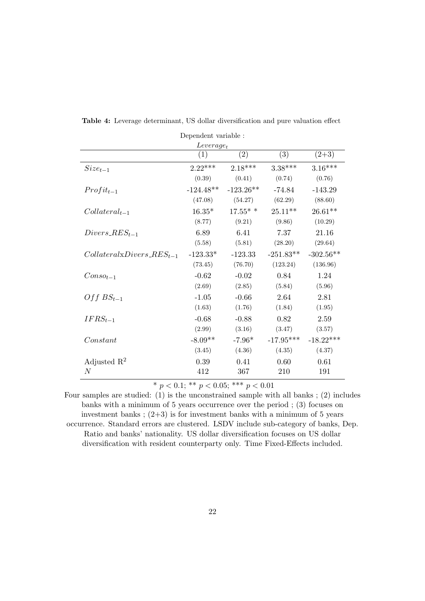| Dependent variable :            |             |             |             |             |  |  |
|---------------------------------|-------------|-------------|-------------|-------------|--|--|
| $Leverage_t$                    |             |             |             |             |  |  |
|                                 | (1)         | (2)         | (3)         | $(2+3)$     |  |  |
| $Size_{t-1}$                    | $2.22***$   | $2.18***$   | $3.38***$   | $3.16***$   |  |  |
|                                 | (0.39)      | (0.41)      | (0.74)      | (0.76)      |  |  |
| $Profit_{t-1}$                  | $-124.48**$ | $-123.26**$ | $-74.84$    | $-143.29$   |  |  |
|                                 | (47.08)     | (54.27)     | (62.29)     | (88.60)     |  |  |
| $Collateral_{t-1}$              | $16.35*$    | $17.55*$ *  | $25.11**$   | $26.61**$   |  |  |
|                                 | (8.77)      | (9.21)      | (9.86)      | (10.29)     |  |  |
| $Divers\_RES_{t-1}$             | 6.89        | 6.41        | 7.37        | 21.16       |  |  |
|                                 | (5.58)      | (5.81)      | (28.20)     | (29.64)     |  |  |
| $Collateral xDivers\_RES_{t-1}$ | $-123.33*$  | $-123.33$   | $-251.83**$ | $-302.56**$ |  |  |
|                                 | (73.45)     | (76.70)     | (123.24)    | (136.96)    |  |  |
| $Conso_{t-1}$                   | $-0.62$     | $-0.02$     | 0.84        | 1.24        |  |  |
|                                 | (2.69)      | (2.85)      | (5.84)      | (5.96)      |  |  |
| $Off BS_{t-1}$                  | $-1.05$     | $-0.66$     | 2.64        | 2.81        |  |  |
|                                 | (1.63)      | (1.76)      | (1.84)      | (1.95)      |  |  |
| $IFRS_{t-1}$                    | $-0.68$     | $-0.88$     | 0.82        | 2.59        |  |  |
|                                 | (2.99)      | (3.16)      | (3.47)      | (3.57)      |  |  |
| Constant                        | $-8.09**$   | $-7.96*$    | $-17.95***$ | $-18.22***$ |  |  |
|                                 | (3.45)      | (4.36)      | (4.35)      | (4.37)      |  |  |
| Adjusted $\mathbb{R}^2$         | 0.39        | 0.41        | 0.60        | 0.61        |  |  |
| $\boldsymbol{N}$                | 412         | 367         | 210         | 191         |  |  |

Table 4: Leverage determinant, US dollar diversification and pure valuation effect

Four samples are studied: (1) is the unconstrained sample with all banks ; (2) includes banks with a minimum of 5 years occurrence over the period ; (3) focuses on investment banks;  $(2+3)$  is for investment banks with a minimum of 5 years occurrence. Standard errors are clustered. LSDV include sub-category of banks, Dep. Ratio and banks' nationality. US dollar diversification focuses on US dollar diversification with resident counterparty only. Time Fixed-Effects included.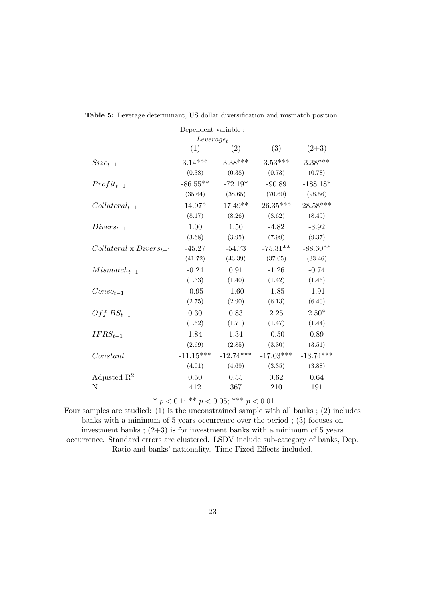| Dependent variable :             |              |             |             |             |  |  |  |  |
|----------------------------------|--------------|-------------|-------------|-------------|--|--|--|--|
|                                  | $Leverage_t$ |             |             |             |  |  |  |  |
|                                  | (1)          | (2)         | (3)         | $(2+3)$     |  |  |  |  |
| $Size_{t-1}$                     | $3.14***$    | $3.38***$   | $3.53***$   | $3.38***$   |  |  |  |  |
|                                  | (0.38)       | (0.38)      | (0.73)      | (0.78)      |  |  |  |  |
| $Profit_{t-1}$                   | $-86.55**$   | $-72.19*$   | $-90.89$    | $-188.18*$  |  |  |  |  |
|                                  | (35.64)      | (38.65)     | (70.60)     | (98.56)     |  |  |  |  |
| $Collateral_{t-1}$               | 14.97*       | $17.49**$   | $26.35***$  | $28.58***$  |  |  |  |  |
|                                  | (8.17)       | (8.26)      | (8.62)      | (8.49)      |  |  |  |  |
| $Divers_{t-1}$                   | 1.00         | 1.50        | $-4.82$     | $-3.92$     |  |  |  |  |
|                                  | (3.68)       | (3.95)      | (7.99)      | (9.37)      |  |  |  |  |
| $Collateral \times Divers_{t-1}$ | $-45.27$     | $-54.73$    | $-75.31**$  | $-88.60**$  |  |  |  |  |
|                                  | (41.72)      | (43.39)     | (37.05)     | (33.46)     |  |  |  |  |
| $Mismatch_{t-1}$                 | $-0.24$      | 0.91        | $-1.26$     | $-0.74$     |  |  |  |  |
|                                  | (1.33)       | (1.40)      | (1.42)      | (1.46)      |  |  |  |  |
| $Conso_{t-1}$                    | $-0.95$      | $-1.60$     | $-1.85$     | $-1.91$     |  |  |  |  |
|                                  | (2.75)       | (2.90)      | (6.13)      | (6.40)      |  |  |  |  |
| $Off BS_{t-1}$                   | 0.30         | 0.83        | 2.25        | $2.50*$     |  |  |  |  |
|                                  | (1.62)       | (1.71)      | (1.47)      | (1.44)      |  |  |  |  |
| $IFRS_{t-1}$                     | 1.84         | 1.34        | $-0.50$     | 0.89        |  |  |  |  |
|                                  | (2.69)       | (2.85)      | (3.30)      | (3.51)      |  |  |  |  |
| Constant                         | $-11.15***$  | $-12.74***$ | $-17.03***$ | $-13.74***$ |  |  |  |  |
|                                  | (4.01)       | (4.69)      | (3.35)      | (3.88)      |  |  |  |  |
| Adjusted $\mathbb{R}^2$          | 0.50         | 0.55        | 0.62        | 0.64        |  |  |  |  |
| Ν                                | 412          | 367         | 210         | 191         |  |  |  |  |

Table 5: Leverage determinant, US dollar diversification and mismatch position

Four samples are studied: (1) is the unconstrained sample with all banks ; (2) includes banks with a minimum of 5 years occurrence over the period ; (3) focuses on investment banks;  $(2+3)$  is for investment banks with a minimum of 5 years occurrence. Standard errors are clustered. LSDV include sub-category of banks, Dep. Ratio and banks' nationality. Time Fixed-Effects included.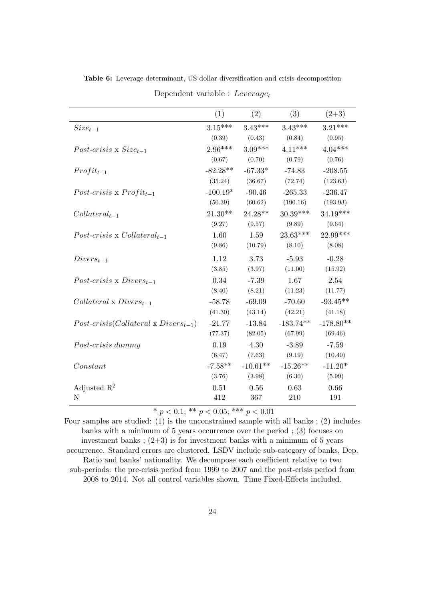|                                                | (1)        | (2)        | (3)         | $(2+3)$     |
|------------------------------------------------|------------|------------|-------------|-------------|
| $Size_{t-1}$                                   | $3.15***$  | $3.43***$  | $3.43***$   | $3.21***$   |
|                                                | (0.39)     | (0.43)     | (0.84)      | (0.95)      |
| Post-crisis x $Size_{t-1}$                     | $2.96***$  | $3.09***$  | $4.11***$   | $4.04***$   |
|                                                | (0.67)     | (0.70)     | (0.79)      | (0.76)      |
| $Profit_{t-1}$                                 | $-82.28**$ | $-67.33*$  | $-74.83$    | $-208.55$   |
|                                                | (35.24)    | (36.67)    | (72.74)     | (123.63)    |
| Post-crisis x $Profit_{t-1}$                   | $-100.19*$ | $-90.46$   | $-265.33$   | $-236.47$   |
|                                                | (50.39)    | (60.62)    | (190.16)    | (193.93)    |
| $Collateral_{t-1}$                             | $21.30**$  | $24.28**$  | $30.39***$  | $34.19***$  |
|                                                | (9.27)     | (9.57)     | (9.89)      | (9.64)      |
| Post-crisis x Collateral <sub>t-1</sub>        | 1.60       | 1.59       | $23.63***$  | 22.99***    |
|                                                | (9.86)     | (10.79)    | (8.10)      | (8.08)      |
| $Divers_{t-1}$                                 | 1.12       | 3.73       | $-5.93$     | $-0.28$     |
|                                                | (3.85)     | (3.97)     | (11.00)     | (15.92)     |
| Post-crisis x $Divers_{t-1}$                   | 0.34       | $-7.39$    | 1.67        | 2.54        |
|                                                | (8.40)     | (8.21)     | (11.23)     | (11.77)     |
| $Collateral \times Divers_{t-1}$               | $-58.78$   | $-69.09$   | $-70.60$    | $-93.45**$  |
|                                                | (41.30)    | (43.14)    | (42.21)     | (41.18)     |
| $Post-crisis (Collateral \times Divers_{t-1})$ | $-21.77$   | $-13.84$   | $-183.74**$ | $-178.80**$ |
|                                                | (77.37)    | (82.05)    | (67.99)     | (69.46)     |
| Post-crisis dummy                              | 0.19       | 4.30       | $-3.89$     | $-7.59$     |
|                                                | (6.47)     | (7.63)     | (9.19)      | (10.40)     |
| Constant                                       | $-7.58**$  | $-10.61**$ | $-15.26**$  | $-11.20*$   |
|                                                | (3.76)     | (3.98)     | (6.30)      | (5.99)      |
| Adjusted $\mathbb{R}^2$                        | 0.51       | 0.56       | 0.63        | 0.66        |
| N                                              | 412        | 367        | 210         | 191         |

Table 6: Leverage determinant, US dollar diversification and crisis decomposition

| Dependent variable : $Leverage_t$ |  |  |
|-----------------------------------|--|--|
|-----------------------------------|--|--|

Four samples are studied: (1) is the unconstrained sample with all banks ; (2) includes banks with a minimum of 5 years occurrence over the period ; (3) focuses on investment banks;  $(2+3)$  is for investment banks with a minimum of 5 years occurrence. Standard errors are clustered. LSDV include sub-category of banks, Dep. Ratio and banks' nationality. We decompose each coefficient relative to two sub-periods: the pre-crisis period from 1999 to 2007 and the post-crisis period from 2008 to 2014. Not all control variables shown. Time Fixed-Effects included.